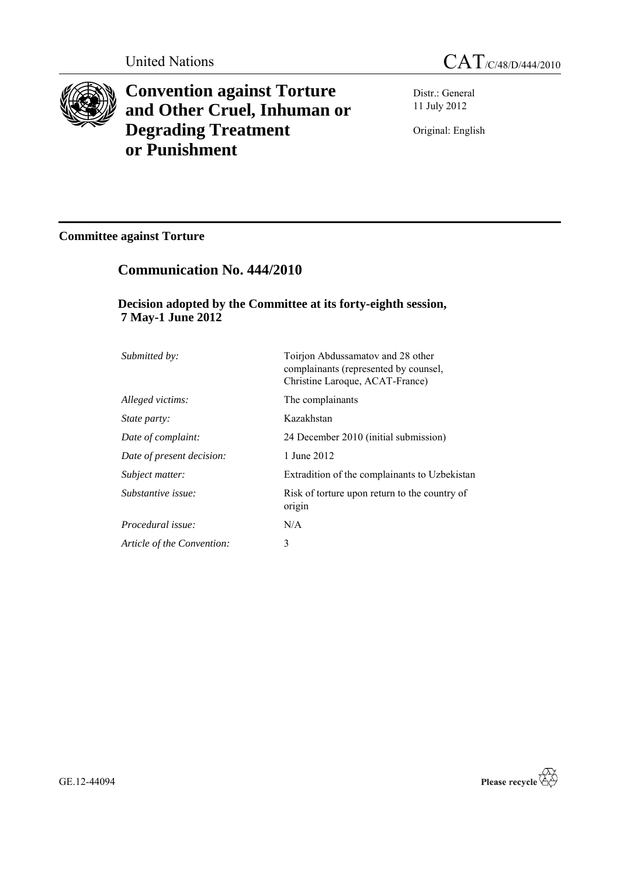

**Convention against Torture and Other Cruel, Inhuman or Degrading Treatment or Punishment**



Distr.: General 11 July 2012

Original: English

# **Committee against Torture**

# **Communication No. 444/2010**

# **Decision adopted by the Committee at its forty-eighth session, 7 May-1 June 2012**

| Submitted by:              | Toirjon Abdussamatov and 28 other<br>complainants (represented by counsel,<br>Christine Laroque, ACAT-France) |
|----------------------------|---------------------------------------------------------------------------------------------------------------|
| Alleged victims:           | The complainants                                                                                              |
| <i>State party:</i>        | Kazakhstan                                                                                                    |
| Date of complaint:         | 24 December 2010 (initial submission)                                                                         |
| Date of present decision:  | 1 June 2012                                                                                                   |
| Subject matter:            | Extradition of the complainants to Uzbekistan                                                                 |
| Substantive issue:         | Risk of torture upon return to the country of<br>origin                                                       |
| Procedural issue:          | N/A                                                                                                           |
| Article of the Convention: | 3                                                                                                             |

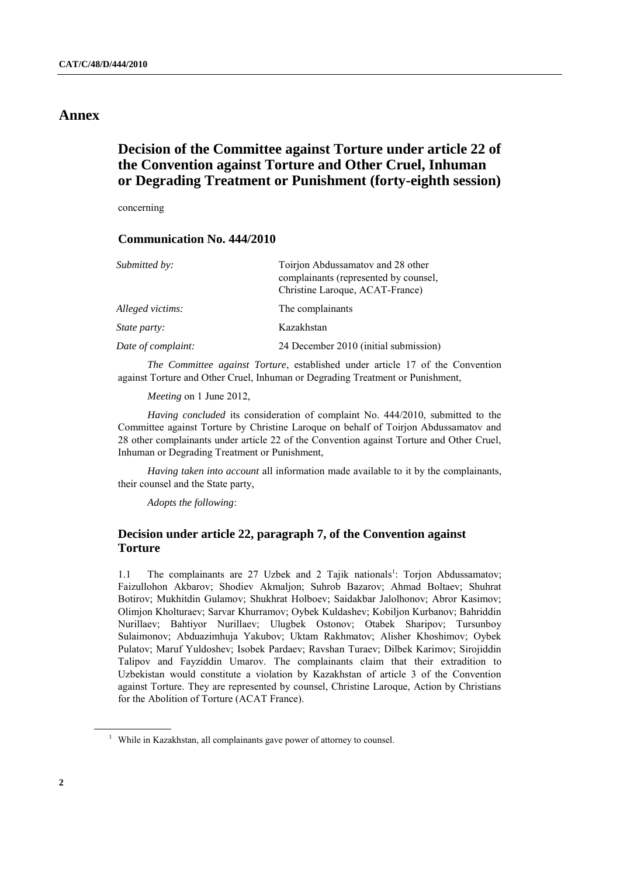# **Annex**

# **Decision of the Committee against Torture under article 22 of the Convention against Torture and Other Cruel, Inhuman or Degrading Treatment or Punishment (forty-eighth session)**

concerning

# **Communication No. 444/2010**

| Submitted by:       | Toirjon Abdussamatov and 28 other<br>complainants (represented by counsel,<br>Christine Laroque, ACAT-France) |
|---------------------|---------------------------------------------------------------------------------------------------------------|
| Alleged victims:    | The complainants                                                                                              |
| <i>State party:</i> | Kazakhstan                                                                                                    |
| Date of complaint:  | 24 December 2010 (initial submission)                                                                         |

*The Committee against Torture*, established under article 17 of the Convention against Torture and Other Cruel, Inhuman or Degrading Treatment or Punishment,

*Meeting* on 1 June 2012,

*Having concluded* its consideration of complaint No. 444/2010, submitted to the Committee against Torture by Christine Laroque on behalf of Toirjon Abdussamatov and 28 other complainants under article 22 of the Convention against Torture and Other Cruel, Inhuman or Degrading Treatment or Punishment,

*Having taken into account* all information made available to it by the complainants, their counsel and the State party,

*Adopts the following*:

# **Decision under article 22, paragraph 7, of the Convention against Torture**

1.1 The complainants are 27 Uzbek and 2 Tajik nationals<sup>1</sup>: Torjon Abdussamatov; Faizullohon Akbarov; Shodiev Akmaljon; Suhrob Bazarov; Ahmad Boltaev; Shuhrat Botirov; Mukhitdin Gulamov; Shukhrat Holboev; Saidakbar Jalolhonov; Abror Kasimov; Olimjon Kholturaev; Sarvar Khurramov; Oybek Kuldashev; Kobiljon Kurbanov; Bahriddin Nurillaev; Bahtiyor Nurillaev; Ulugbek Ostonov; Otabek Sharipov; Tursunboy Sulaimonov; Abduazimhuja Yakubov; Uktam Rakhmatov; Alisher Khoshimov; Oybek Pulatov; Maruf Yuldoshev; Isobek Pardaev; Ravshan Turaev; Dilbek Karimov; Sirojiddin Talipov and Fayziddin Umarov. The complainants claim that their extradition to Uzbekistan would constitute a violation by Kazakhstan of article 3 of the Convention against Torture. They are represented by counsel, Christine Laroque, Action by Christians for the Abolition of Torture (ACAT France).

<sup>&</sup>lt;sup>1</sup> While in Kazakhstan, all complainants gave power of attorney to counsel.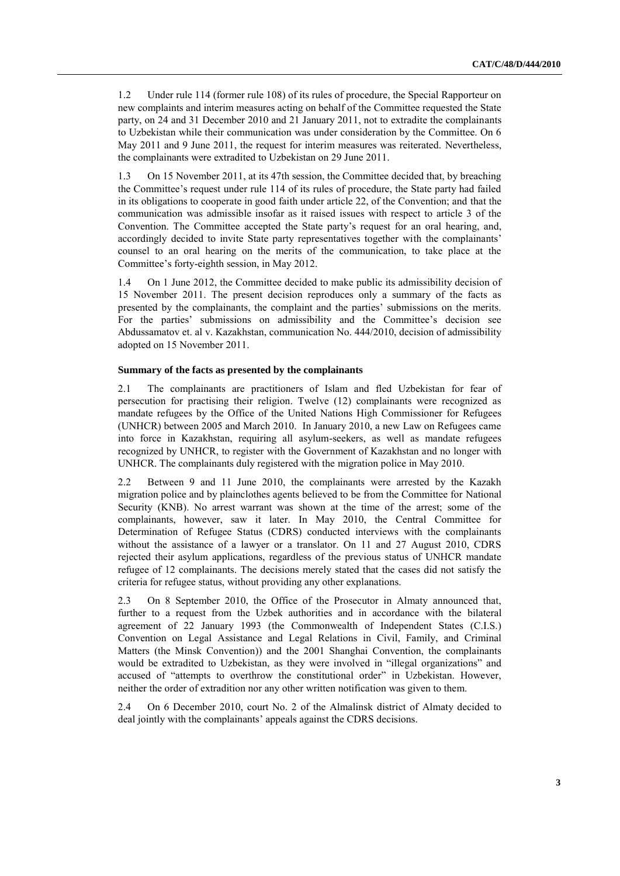1.2 Under rule 114 (former rule 108) of its rules of procedure, the Special Rapporteur on new complaints and interim measures acting on behalf of the Committee requested the State party, on 24 and 31 December 2010 and 21 January 2011, not to extradite the complainants to Uzbekistan while their communication was under consideration by the Committee. On 6 May 2011 and 9 June 2011, the request for interim measures was reiterated. Nevertheless, the complainants were extradited to Uzbekistan on 29 June 2011.

1.3 On 15 November 2011, at its 47th session, the Committee decided that, by breaching the Committee"s request under rule 114 of its rules of procedure, the State party had failed in its obligations to cooperate in good faith under article 22, of the Convention; and that the communication was admissible insofar as it raised issues with respect to article 3 of the Convention. The Committee accepted the State party"s request for an oral hearing, and, accordingly decided to invite State party representatives together with the complainants' counsel to an oral hearing on the merits of the communication, to take place at the Committee"s forty-eighth session, in May 2012.

1.4 On 1 June 2012, the Committee decided to make public its admissibility decision of 15 November 2011. The present decision reproduces only a summary of the facts as presented by the complainants, the complaint and the parties" submissions on the merits. For the parties' submissions on admissibility and the Committee's decision see [Abdussamatov et. al v. Kazakhstan,](http://www.bayefsky.com/docs.php/area/jurisprudence/treaty/cat/opt/0/node/4/filename/kazakhstan_t5_cat_444_2010_scan) communication No. 444/2010, decision of admissibility adopted on 15 November 2011.

### **Summary of the facts as presented by the complainants**

2.1 The complainants are practitioners of Islam and fled Uzbekistan for fear of persecution for practising their religion. Twelve (12) complainants were recognized as mandate refugees by the Office of the United Nations High Commissioner for Refugees (UNHCR) between 2005 and March 2010. In January 2010, a new Law on Refugees came into force in Kazakhstan, requiring all asylum-seekers, as well as mandate refugees recognized by UNHCR, to register with the Government of Kazakhstan and no longer with UNHCR. The complainants duly registered with the migration police in May 2010.

2.2 Between 9 and 11 June 2010, the complainants were arrested by the Kazakh migration police and by plainclothes agents believed to be from the Committee for National Security (KNB). No arrest warrant was shown at the time of the arrest; some of the complainants, however, saw it later. In May 2010, the Central Committee for Determination of Refugee Status (CDRS) conducted interviews with the complainants without the assistance of a lawyer or a translator. On 11 and 27 August 2010, CDRS rejected their asylum applications, regardless of the previous status of UNHCR mandate refugee of 12 complainants. The decisions merely stated that the cases did not satisfy the criteria for refugee status, without providing any other explanations.

2.3 On 8 September 2010, the Office of the Prosecutor in Almaty announced that, further to a request from the Uzbek authorities and in accordance with the bilateral agreement of 22 January 1993 (the Commonwealth of Independent States (C.I.S.) Convention on Legal Assistance and Legal Relations in Civil, Family, and Criminal Matters (the Minsk Convention)) and the 2001 Shanghai Convention, the complainants would be extradited to Uzbekistan, as they were involved in "illegal organizations" and accused of "attempts to overthrow the constitutional order" in Uzbekistan. However, neither the order of extradition nor any other written notification was given to them.

2.4 On 6 December 2010, court No. 2 of the Almalinsk district of Almaty decided to deal jointly with the complainants' appeals against the CDRS decisions.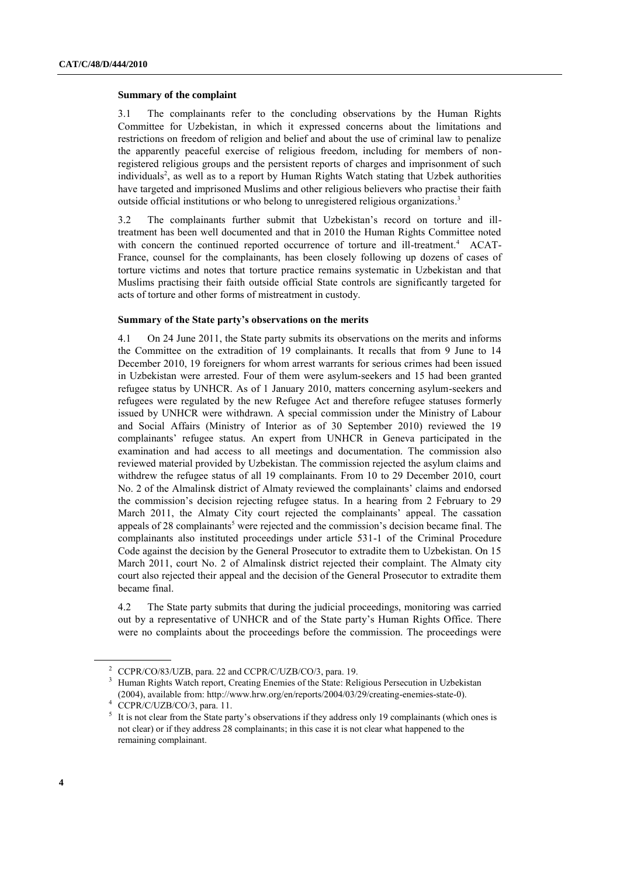#### **Summary of the complaint**

3.1 The complainants refer to the concluding observations by the Human Rights Committee for Uzbekistan, in which it expressed concerns about the limitations and restrictions on freedom of religion and belief and about the use of criminal law to penalize the apparently peaceful exercise of religious freedom, including for members of nonregistered religious groups and the persistent reports of charges and imprisonment of such individuals<sup>2</sup>, as well as to a report by Human Rights Watch stating that Uzbek authorities have targeted and imprisoned Muslims and other religious believers who practise their faith outside official institutions or who belong to unregistered religious organizations.<sup>3</sup>

3.2 The complainants further submit that Uzbekistan"s record on torture and illtreatment has been well documented and that in 2010 the Human Rights Committee noted with concern the continued reported occurrence of torture and ill-treatment.<sup>4</sup> ACAT-France, counsel for the complainants, has been closely following up dozens of cases of torture victims and notes that torture practice remains systematic in Uzbekistan and that Muslims practising their faith outside official State controls are significantly targeted for acts of torture and other forms of mistreatment in custody.

#### **Summary of the State party's observations on the merits**

4.1 On 24 June 2011, the State party submits its observations on the merits and informs the Committee on the extradition of 19 complainants. It recalls that from 9 June to 14 December 2010, 19 foreigners for whom arrest warrants for serious crimes had been issued in Uzbekistan were arrested. Four of them were asylum-seekers and 15 had been granted refugee status by UNHCR. As of 1 January 2010, matters concerning asylum-seekers and refugees were regulated by the new Refugee Act and therefore refugee statuses formerly issued by UNHCR were withdrawn. A special commission under the Ministry of Labour and Social Affairs (Ministry of Interior as of 30 September 2010) reviewed the 19 complainants" refugee status. An expert from UNHCR in Geneva participated in the examination and had access to all meetings and documentation. The commission also reviewed material provided by Uzbekistan. The commission rejected the asylum claims and withdrew the refugee status of all 19 complainants. From 10 to 29 December 2010, court No. 2 of the Almalinsk district of Almaty reviewed the complainants" claims and endorsed the commission"s decision rejecting refugee status. In a hearing from 2 February to 29 March 2011, the Almaty City court rejected the complainants" appeal. The cassation appeals of 28 complainants<sup>5</sup> were rejected and the commission's decision became final. The complainants also instituted proceedings under article 531-1 of the Criminal Procedure Code against the decision by the General Prosecutor to extradite them to Uzbekistan. On 15 March 2011, court No. 2 of Almalinsk district rejected their complaint. The Almaty city court also rejected their appeal and the decision of the General Prosecutor to extradite them became final.

4.2 The State party submits that during the judicial proceedings, monitoring was carried out by a representative of UNHCR and of the State party"s Human Rights Office. There were no complaints about the proceedings before the commission. The proceedings were

<sup>2</sup> CCPR/CO/83/UZB, para. 22 and CCPR/C/UZB/CO/3, para. 19.

<sup>&</sup>lt;sup>3</sup> Human Rights Watch report, Creating Enemies of the State: Religious Persecution in Uzbekistan (2004), available from: http://www.hrw.org/en/reports/2004/03/29/creating-enemies-state-0).

<sup>&</sup>lt;sup>4</sup> CCPR/C/UZB/CO/3, para. 11.

<sup>5</sup> It is not clear from the State party's observations if they address only 19 complainants (which ones is not clear) or if they address 28 complainants; in this case it is not clear what happened to the remaining complainant.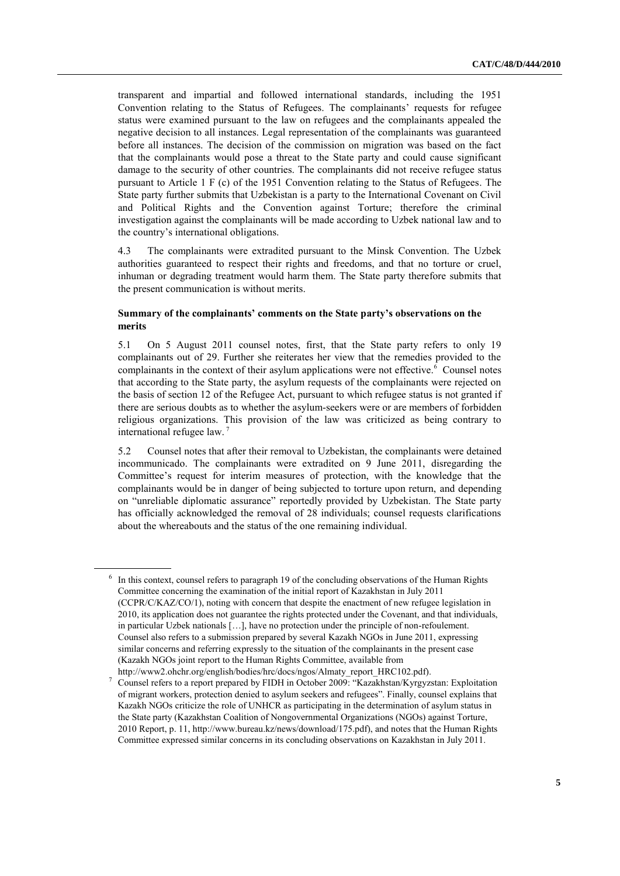transparent and impartial and followed international standards, including the 1951 Convention relating to the Status of Refugees. The complainants" requests for refugee status were examined pursuant to the law on refugees and the complainants appealed the negative decision to all instances. Legal representation of the complainants was guaranteed before all instances. The decision of the commission on migration was based on the fact that the complainants would pose a threat to the State party and could cause significant damage to the security of other countries. The complainants did not receive refugee status pursuant to Article 1 F (c) of the 1951 Convention relating to the Status of Refugees. The State party further submits that Uzbekistan is a party to the International Covenant on Civil and Political Rights and the Convention against Torture; therefore the criminal investigation against the complainants will be made according to Uzbek national law and to the country"s international obligations.

4.3 The complainants were extradited pursuant to the Minsk Convention. The Uzbek authorities guaranteed to respect their rights and freedoms, and that no torture or cruel, inhuman or degrading treatment would harm them. The State party therefore submits that the present communication is without merits.

# **Summary of the complainants' comments on the State party's observations on the merits**

5.1 On 5 August 2011 counsel notes, first, that the State party refers to only 19 complainants out of 29. Further she reiterates her view that the remedies provided to the complainants in the context of their asylum applications were not effective.<sup>6</sup> Counsel notes that according to the State party, the asylum requests of the complainants were rejected on the basis of section 12 of the Refugee Act, pursuant to which refugee status is not granted if there are serious doubts as to whether the asylum-seekers were or are members of forbidden religious organizations. This provision of the law was criticized as being contrary to international refugee law. <sup>7</sup>

5.2 Counsel notes that after their removal to Uzbekistan, the complainants were detained incommunicado. The complainants were extradited on 9 June 2011, disregarding the Committee"s request for interim measures of protection, with the knowledge that the complainants would be in danger of being subjected to torture upon return, and depending on "unreliable diplomatic assurance" reportedly provided by Uzbekistan. The State party has officially acknowledged the removal of 28 individuals; counsel requests clarifications about the whereabouts and the status of the one remaining individual.

<sup>6</sup> In this context, counsel refers to paragraph 19 of the concluding observations of the Human Rights Committee concerning the examination of the initial report of Kazakhstan in July 2011 (CCPR/C/KAZ/CO/1), noting with concern that despite the enactment of new refugee legislation in 2010, its application does not guarantee the rights protected under the Covenant, and that individuals, in particular Uzbek nationals […], have no protection under the principle of non-refoulement. Counsel also refers to a submission prepared by several Kazakh NGOs in June 2011, expressing similar concerns and referring expressly to the situation of the complainants in the present case (Kazakh NGOs joint report to the Human Rights Committee, available from

http://www2.ohchr.org/english/bodies/hrc/docs/ngos/Almaty\_report\_HRC102.pdf). <sup>7</sup> Counsel refers to a report prepared by FIDH in October 2009: "Kazakhstan/Kyrgyzstan: Exploitation

of migrant workers, protection denied to asylum seekers and refugees". Finally, counsel explains that Kazakh NGOs criticize the role of UNHCR as participating in the determination of asylum status in the State party (Kazakhstan Coalition of Nongovernmental Organizations (NGOs) against Torture, 2010 Report, p. 11, [http://www.bureau.kz/news/download/175.pdf\)](http://www.bureau.kz/news/download/175.pdf), and notes that the Human Rights Committee expressed similar concerns in its concluding observations on Kazakhstan in July 2011.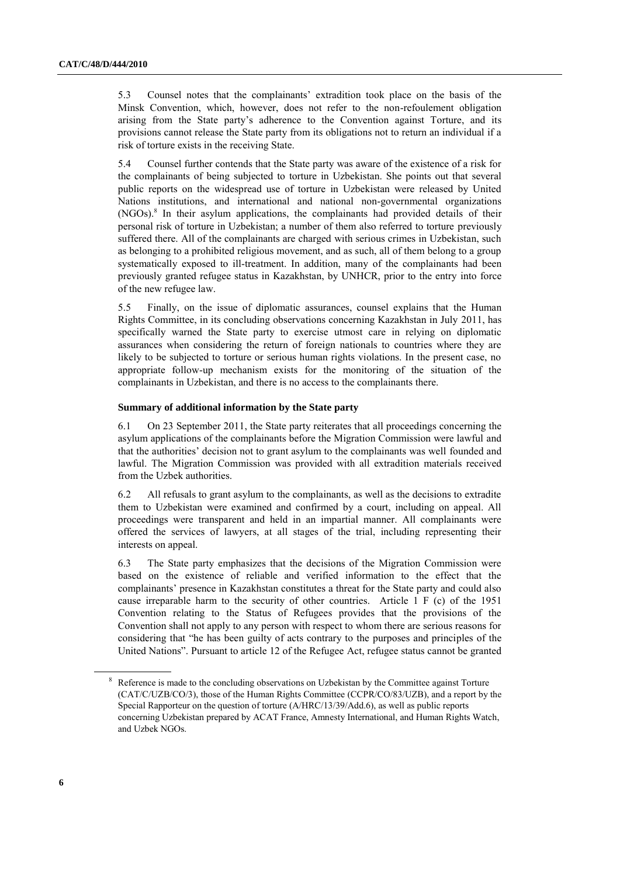5.3 Counsel notes that the complainants" extradition took place on the basis of the Minsk Convention, which, however, does not refer to the non-refoulement obligation arising from the State party"s adherence to the Convention against Torture, and its provisions cannot release the State party from its obligations not to return an individual if a risk of torture exists in the receiving State.

5.4 Counsel further contends that the State party was aware of the existence of a risk for the complainants of being subjected to torture in Uzbekistan. She points out that several public reports on the widespread use of torture in Uzbekistan were released by United Nations institutions, and international and national non-governmental organizations (NGOs). 8 In their asylum applications, the complainants had provided details of their personal risk of torture in Uzbekistan; a number of them also referred to torture previously suffered there. All of the complainants are charged with serious crimes in Uzbekistan, such as belonging to a prohibited religious movement, and as such, all of them belong to a group systematically exposed to ill-treatment. In addition, many of the complainants had been previously granted refugee status in Kazakhstan, by UNHCR, prior to the entry into force of the new refugee law.

5.5 Finally, on the issue of diplomatic assurances, counsel explains that the Human Rights Committee, in its concluding observations concerning Kazakhstan in July 2011, has specifically warned the State party to exercise utmost care in relying on diplomatic assurances when considering the return of foreign nationals to countries where they are likely to be subjected to torture or serious human rights violations. In the present case, no appropriate follow-up mechanism exists for the monitoring of the situation of the complainants in Uzbekistan, and there is no access to the complainants there.

# **Summary of additional information by the State party**

6.1 On 23 September 2011, the State party reiterates that all proceedings concerning the asylum applications of the complainants before the Migration Commission were lawful and that the authorities" decision not to grant asylum to the complainants was well founded and lawful. The Migration Commission was provided with all extradition materials received from the Uzbek authorities.

6.2 All refusals to grant asylum to the complainants, as well as the decisions to extradite them to Uzbekistan were examined and confirmed by a court, including on appeal. All proceedings were transparent and held in an impartial manner. All complainants were offered the services of lawyers, at all stages of the trial, including representing their interests on appeal.

6.3 The State party emphasizes that the decisions of the Migration Commission were based on the existence of reliable and verified information to the effect that the complainants" presence in Kazakhstan constitutes a threat for the State party and could also cause irreparable harm to the security of other countries. Article 1 F (c) of the 1951 Convention relating to the Status of Refugees provides that the provisions of the Convention shall not apply to any person with respect to whom there are serious reasons for considering that "he has been guilty of acts contrary to the purposes and principles of the United Nations". Pursuant to article 12 of the Refugee Act, refugee status cannot be granted

Reference is made to the concluding observations on Uzbekistan by the Committee against Torture (CAT/C/UZB/CO/3), those of the Human Rights Committee (CCPR/CO/83/UZB), and a report by the Special Rapporteur on the question of torture (A/HRC/13/39/Add.6), as well as public reports concerning Uzbekistan prepared by ACAT France, Amnesty International, and Human Rights Watch, and Uzbek NGOs.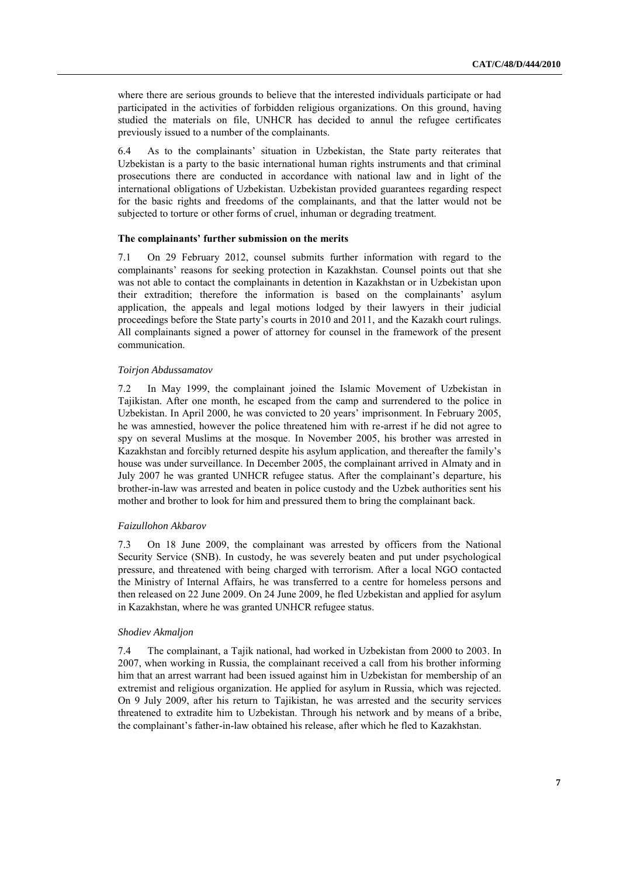where there are serious grounds to believe that the interested individuals participate or had participated in the activities of forbidden religious organizations. On this ground, having studied the materials on file, UNHCR has decided to annul the refugee certificates previously issued to a number of the complainants.

6.4 As to the complainants" situation in Uzbekistan, the State party reiterates that Uzbekistan is a party to the basic international human rights instruments and that criminal prosecutions there are conducted in accordance with national law and in light of the international obligations of Uzbekistan. Uzbekistan provided guarantees regarding respect for the basic rights and freedoms of the complainants, and that the latter would not be subjected to torture or other forms of cruel, inhuman or degrading treatment.

#### **The complainants' further submission on the merits**

7.1 On 29 February 2012, counsel submits further information with regard to the complainants' reasons for seeking protection in Kazakhstan. Counsel points out that she was not able to contact the complainants in detention in Kazakhstan or in Uzbekistan upon their extradition; therefore the information is based on the complainants" asylum application, the appeals and legal motions lodged by their lawyers in their judicial proceedings before the State party"s courts in 2010 and 2011, and the Kazakh court rulings. All complainants signed a power of attorney for counsel in the framework of the present communication.

#### *Toirjon Abdussamatov*

7.2 In May 1999, the complainant joined the Islamic Movement of Uzbekistan in Tajikistan. After one month, he escaped from the camp and surrendered to the police in Uzbekistan. In April 2000, he was convicted to 20 years' imprisonment. In February 2005, he was amnestied, however the police threatened him with re-arrest if he did not agree to spy on several Muslims at the mosque. In November 2005, his brother was arrested in Kazakhstan and forcibly returned despite his asylum application, and thereafter the family"s house was under surveillance. In December 2005, the complainant arrived in Almaty and in July 2007 he was granted UNHCR refugee status. After the complainant"s departure, his brother-in-law was arrested and beaten in police custody and the Uzbek authorities sent his mother and brother to look for him and pressured them to bring the complainant back.

#### *Faizullohon Akbarov*

7.3 On 18 June 2009, the complainant was arrested by officers from the National Security Service (SNB). In custody, he was severely beaten and put under psychological pressure, and threatened with being charged with terrorism. After a local NGO contacted the Ministry of Internal Affairs, he was transferred to a centre for homeless persons and then released on 22 June 2009. On 24 June 2009, he fled Uzbekistan and applied for asylum in Kazakhstan, where he was granted UNHCR refugee status.

#### *Shodiev Akmaljon*

7.4 The complainant, a Tajik national, had worked in Uzbekistan from 2000 to 2003. In 2007, when working in Russia, the complainant received a call from his brother informing him that an arrest warrant had been issued against him in Uzbekistan for membership of an extremist and religious organization. He applied for asylum in Russia, which was rejected. On 9 July 2009, after his return to Tajikistan, he was arrested and the security services threatened to extradite him to Uzbekistan. Through his network and by means of a bribe, the complainant"s father-in-law obtained his release, after which he fled to Kazakhstan.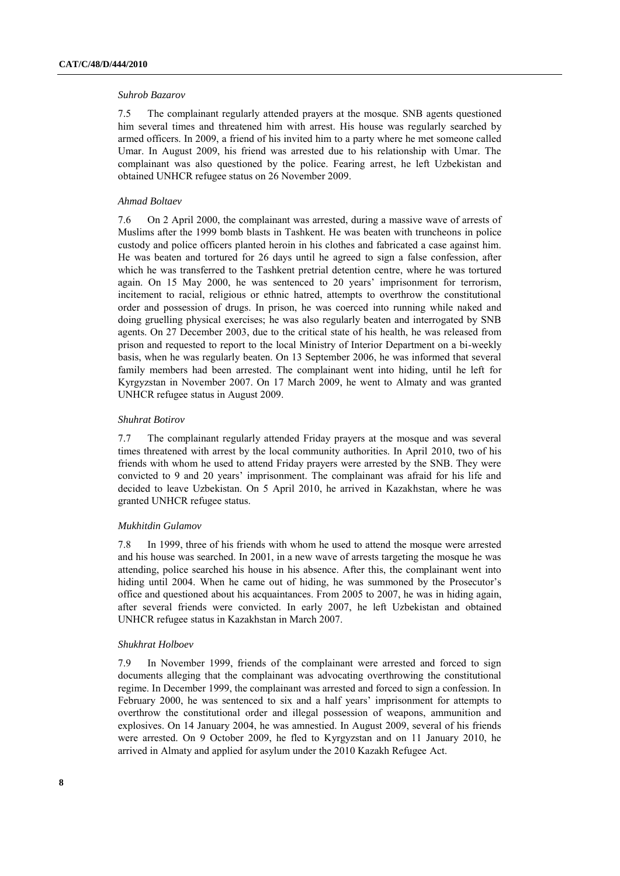#### *Suhrob Bazarov*

7.5 The complainant regularly attended prayers at the mosque. SNB agents questioned him several times and threatened him with arrest. His house was regularly searched by armed officers. In 2009, a friend of his invited him to a party where he met someone called Umar. In August 2009, his friend was arrested due to his relationship with Umar. The complainant was also questioned by the police. Fearing arrest, he left Uzbekistan and obtained UNHCR refugee status on 26 November 2009.

#### *Ahmad Boltaev*

7.6 On 2 April 2000, the complainant was arrested, during a massive wave of arrests of Muslims after the 1999 bomb blasts in Tashkent. He was beaten with truncheons in police custody and police officers planted heroin in his clothes and fabricated a case against him. He was beaten and tortured for 26 days until he agreed to sign a false confession, after which he was transferred to the Tashkent pretrial detention centre, where he was tortured again. On 15 May 2000, he was sentenced to 20 years' imprisonment for terrorism, incitement to racial, religious or ethnic hatred, attempts to overthrow the constitutional order and possession of drugs. In prison, he was coerced into running while naked and doing gruelling physical exercises; he was also regularly beaten and interrogated by SNB agents. On 27 December 2003, due to the critical state of his health, he was released from prison and requested to report to the local Ministry of Interior Department on a bi-weekly basis, when he was regularly beaten. On 13 September 2006, he was informed that several family members had been arrested. The complainant went into hiding, until he left for Kyrgyzstan in November 2007. On 17 March 2009, he went to Almaty and was granted UNHCR refugee status in August 2009.

#### *Shuhrat Botirov*

7.7 The complainant regularly attended Friday prayers at the mosque and was several times threatened with arrest by the local community authorities. In April 2010, two of his friends with whom he used to attend Friday prayers were arrested by the SNB. They were convicted to 9 and 20 years" imprisonment. The complainant was afraid for his life and decided to leave Uzbekistan. On 5 April 2010, he arrived in Kazakhstan, where he was granted UNHCR refugee status.

#### *Mukhitdin Gulamov*

7.8 In 1999, three of his friends with whom he used to attend the mosque were arrested and his house was searched. In 2001, in a new wave of arrests targeting the mosque he was attending, police searched his house in his absence. After this, the complainant went into hiding until 2004. When he came out of hiding, he was summoned by the Prosecutor's office and questioned about his acquaintances. From 2005 to 2007, he was in hiding again, after several friends were convicted. In early 2007, he left Uzbekistan and obtained UNHCR refugee status in Kazakhstan in March 2007.

#### *Shukhrat Holboev*

7.9 In November 1999, friends of the complainant were arrested and forced to sign documents alleging that the complainant was advocating overthrowing the constitutional regime. In December 1999, the complainant was arrested and forced to sign a confession. In February 2000, he was sentenced to six and a half years' imprisonment for attempts to overthrow the constitutional order and illegal possession of weapons, ammunition and explosives. On 14 January 2004, he was amnestied. In August 2009, several of his friends were arrested. On 9 October 2009, he fled to Kyrgyzstan and on 11 January 2010, he arrived in Almaty and applied for asylum under the 2010 Kazakh Refugee Act.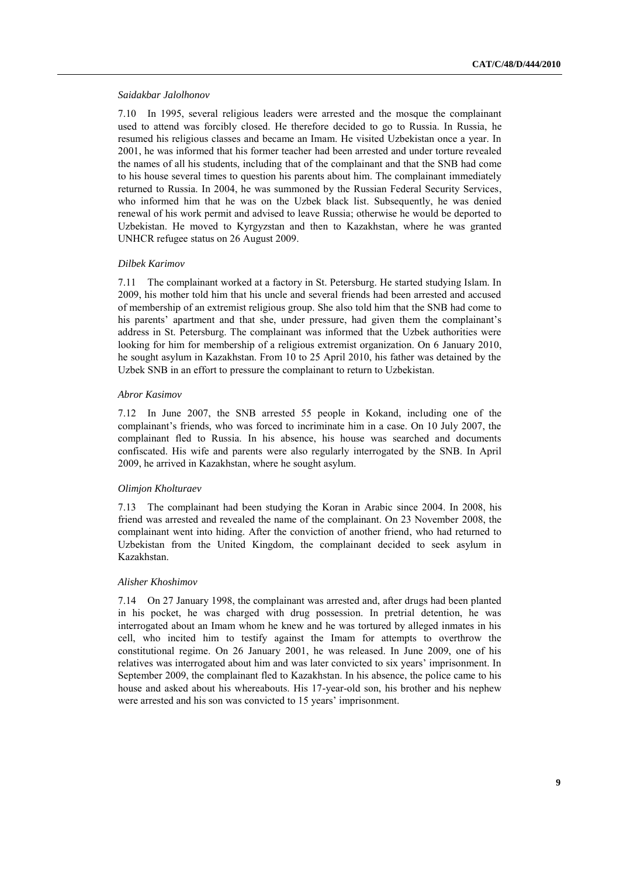#### *Saidakbar Jalolhonov*

7.10 In 1995, several religious leaders were arrested and the mosque the complainant used to attend was forcibly closed. He therefore decided to go to Russia. In Russia, he resumed his religious classes and became an Imam. He visited Uzbekistan once a year. In 2001, he was informed that his former teacher had been arrested and under torture revealed the names of all his students, including that of the complainant and that the SNB had come to his house several times to question his parents about him. The complainant immediately returned to Russia. In 2004, he was summoned by the Russian Federal Security Services, who informed him that he was on the Uzbek black list. Subsequently, he was denied renewal of his work permit and advised to leave Russia; otherwise he would be deported to Uzbekistan. He moved to Kyrgyzstan and then to Kazakhstan, where he was granted UNHCR refugee status on 26 August 2009.

#### *Dilbek Karimov*

7.11 The complainant worked at a factory in St. Petersburg. He started studying Islam. In 2009, his mother told him that his uncle and several friends had been arrested and accused of membership of an extremist religious group. She also told him that the SNB had come to his parents' apartment and that she, under pressure, had given them the complainant's address in St. Petersburg. The complainant was informed that the Uzbek authorities were looking for him for membership of a religious extremist organization. On 6 January 2010, he sought asylum in Kazakhstan. From 10 to 25 April 2010, his father was detained by the Uzbek SNB in an effort to pressure the complainant to return to Uzbekistan.

#### *Abror Kasimov*

7.12 In June 2007, the SNB arrested 55 people in Kokand, including one of the complainant's friends, who was forced to incriminate him in a case. On 10 July 2007, the complainant fled to Russia. In his absence, his house was searched and documents confiscated. His wife and parents were also regularly interrogated by the SNB. In April 2009, he arrived in Kazakhstan, where he sought asylum.

#### *Olimjon Kholturaev*

7.13 The complainant had been studying the Koran in Arabic since 2004. In 2008, his friend was arrested and revealed the name of the complainant. On 23 November 2008, the complainant went into hiding. After the conviction of another friend, who had returned to Uzbekistan from the United Kingdom, the complainant decided to seek asylum in Kazakhstan.

#### *Alisher Khoshimov*

7.14 On 27 January 1998, the complainant was arrested and, after drugs had been planted in his pocket, he was charged with drug possession. In pretrial detention, he was interrogated about an Imam whom he knew and he was tortured by alleged inmates in his cell, who incited him to testify against the Imam for attempts to overthrow the constitutional regime. On 26 January 2001, he was released. In June 2009, one of his relatives was interrogated about him and was later convicted to six years' imprisonment. In September 2009, the complainant fled to Kazakhstan. In his absence, the police came to his house and asked about his whereabouts. His 17-year-old son, his brother and his nephew were arrested and his son was convicted to 15 years' imprisonment.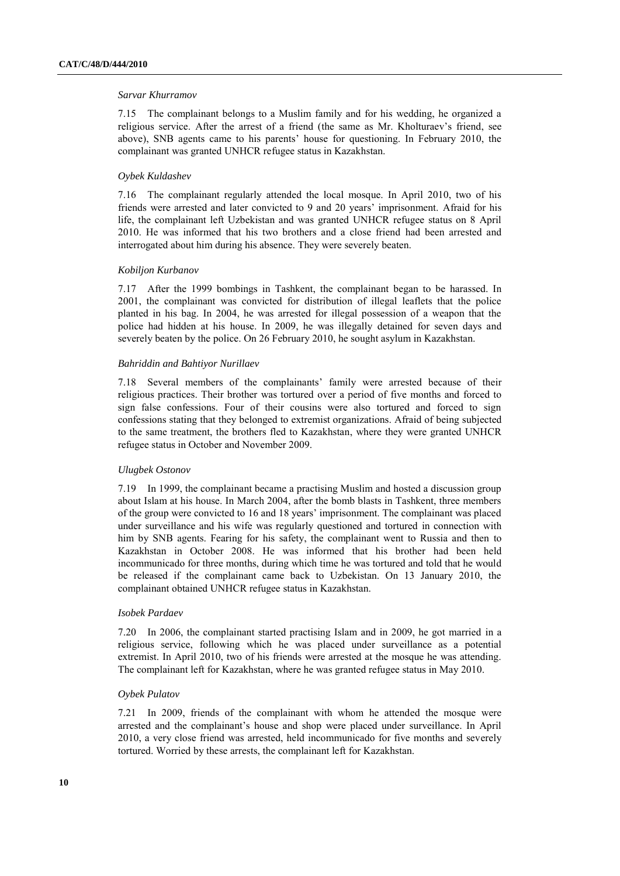#### *Sarvar Khurramov*

7.15 The complainant belongs to a Muslim family and for his wedding, he organized a religious service. After the arrest of a friend (the same as Mr. Kholturaev"s friend, see above), SNB agents came to his parents' house for questioning. In February 2010, the complainant was granted UNHCR refugee status in Kazakhstan.

## *Oybek Kuldashev*

7.16 The complainant regularly attended the local mosque. In April 2010, two of his friends were arrested and later convicted to 9 and 20 years" imprisonment. Afraid for his life, the complainant left Uzbekistan and was granted UNHCR refugee status on 8 April 2010. He was informed that his two brothers and a close friend had been arrested and interrogated about him during his absence. They were severely beaten.

# *Kobiljon Kurbanov*

7.17 After the 1999 bombings in Tashkent, the complainant began to be harassed. In 2001, the complainant was convicted for distribution of illegal leaflets that the police planted in his bag. In 2004, he was arrested for illegal possession of a weapon that the police had hidden at his house. In 2009, he was illegally detained for seven days and severely beaten by the police. On 26 February 2010, he sought asylum in Kazakhstan.

### *Bahriddin and Bahtiyor Nurillaev*

7.18 Several members of the complainants" family were arrested because of their religious practices. Their brother was tortured over a period of five months and forced to sign false confessions. Four of their cousins were also tortured and forced to sign confessions stating that they belonged to extremist organizations. Afraid of being subjected to the same treatment, the brothers fled to Kazakhstan, where they were granted UNHCR refugee status in October and November 2009.

#### *Ulugbek Ostonov*

7.19 In 1999, the complainant became a practising Muslim and hosted a discussion group about Islam at his house. In March 2004, after the bomb blasts in Tashkent, three members of the group were convicted to 16 and 18 years" imprisonment. The complainant was placed under surveillance and his wife was regularly questioned and tortured in connection with him by SNB agents. Fearing for his safety, the complainant went to Russia and then to Kazakhstan in October 2008. He was informed that his brother had been held incommunicado for three months, during which time he was tortured and told that he would be released if the complainant came back to Uzbekistan. On 13 January 2010, the complainant obtained UNHCR refugee status in Kazakhstan.

# *Isobek Pardaev*

7.20 In 2006, the complainant started practising Islam and in 2009, he got married in a religious service, following which he was placed under surveillance as a potential extremist. In April 2010, two of his friends were arrested at the mosque he was attending. The complainant left for Kazakhstan, where he was granted refugee status in May 2010.

#### *Oybek Pulatov*

7.21 In 2009, friends of the complainant with whom he attended the mosque were arrested and the complainant's house and shop were placed under surveillance. In April 2010, a very close friend was arrested, held incommunicado for five months and severely tortured. Worried by these arrests, the complainant left for Kazakhstan.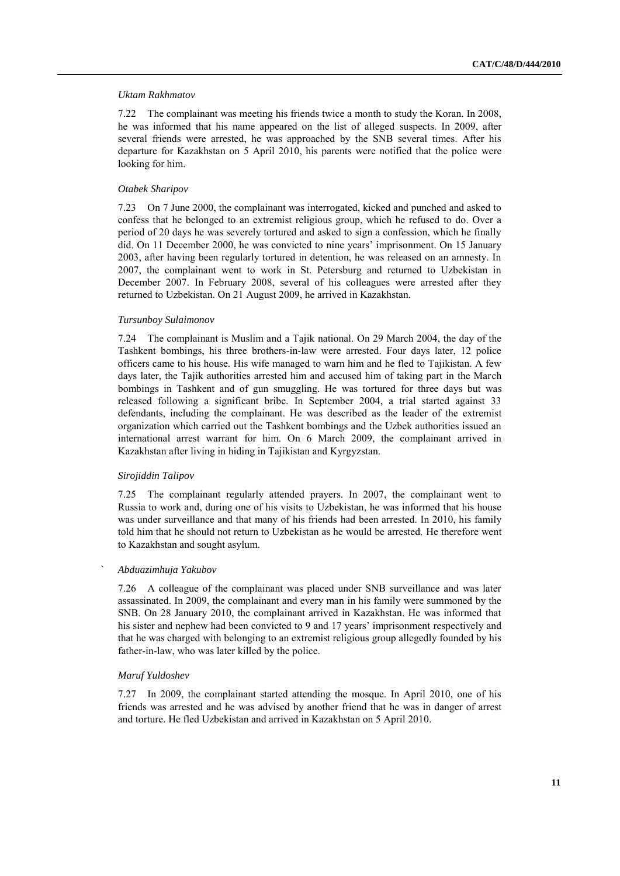#### *Uktam Rakhmatov*

7.22 The complainant was meeting his friends twice a month to study the Koran. In 2008, he was informed that his name appeared on the list of alleged suspects. In 2009, after several friends were arrested, he was approached by the SNB several times. After his departure for Kazakhstan on 5 April 2010, his parents were notified that the police were looking for him.

#### *Otabek Sharipov*

7.23 On 7 June 2000, the complainant was interrogated, kicked and punched and asked to confess that he belonged to an extremist religious group, which he refused to do. Over a period of 20 days he was severely tortured and asked to sign a confession, which he finally did. On 11 December 2000, he was convicted to nine years' imprisonment. On 15 January 2003, after having been regularly tortured in detention, he was released on an amnesty. In 2007, the complainant went to work in St. Petersburg and returned to Uzbekistan in December 2007. In February 2008, several of his colleagues were arrested after they returned to Uzbekistan. On 21 August 2009, he arrived in Kazakhstan.

#### *Tursunboy Sulaimonov*

7.24 The complainant is Muslim and a Tajik national. On 29 March 2004, the day of the Tashkent bombings, his three brothers-in-law were arrested. Four days later, 12 police officers came to his house. His wife managed to warn him and he fled to Tajikistan. A few days later, the Tajik authorities arrested him and accused him of taking part in the March bombings in Tashkent and of gun smuggling. He was tortured for three days but was released following a significant bribe. In September 2004, a trial started against 33 defendants, including the complainant. He was described as the leader of the extremist organization which carried out the Tashkent bombings and the Uzbek authorities issued an international arrest warrant for him. On 6 March 2009, the complainant arrived in Kazakhstan after living in hiding in Tajikistan and Kyrgyzstan.

#### *Sirojiddin Talipov*

7.25 The complainant regularly attended prayers. In 2007, the complainant went to Russia to work and, during one of his visits to Uzbekistan, he was informed that his house was under surveillance and that many of his friends had been arrested. In 2010, his family told him that he should not return to Uzbekistan as he would be arrested. He therefore went to Kazakhstan and sought asylum.

# *` Abduazimhuja Yakubov*

7.26 A colleague of the complainant was placed under SNB surveillance and was later assassinated. In 2009, the complainant and every man in his family were summoned by the SNB. On 28 January 2010, the complainant arrived in Kazakhstan. He was informed that his sister and nephew had been convicted to 9 and 17 years' imprisonment respectively and that he was charged with belonging to an extremist religious group allegedly founded by his father-in-law, who was later killed by the police.

#### *Maruf Yuldoshev*

7.27 In 2009, the complainant started attending the mosque. In April 2010, one of his friends was arrested and he was advised by another friend that he was in danger of arrest and torture. He fled Uzbekistan and arrived in Kazakhstan on 5 April 2010.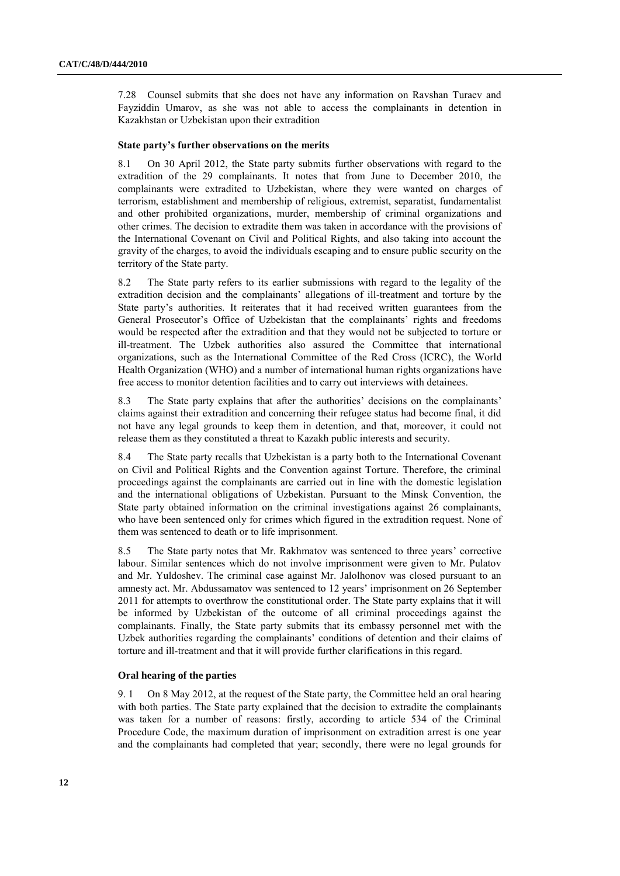7.28 Counsel submits that she does not have any information on Ravshan Turaev and Fayziddin Umarov, as she was not able to access the complainants in detention in Kazakhstan or Uzbekistan upon their extradition

#### **State party's further observations on the merits**

8.1 On 30 April 2012, the State party submits further observations with regard to the extradition of the 29 complainants. It notes that from June to December 2010, the complainants were extradited to Uzbekistan, where they were wanted on charges of terrorism, establishment and membership of religious, extremist, separatist, fundamentalist and other prohibited organizations, murder, membership of criminal organizations and other crimes. The decision to extradite them was taken in accordance with the provisions of the International Covenant on Civil and Political Rights, and also taking into account the gravity of the charges, to avoid the individuals escaping and to ensure public security on the territory of the State party.

8.2 The State party refers to its earlier submissions with regard to the legality of the extradition decision and the complainants" allegations of ill-treatment and torture by the State party"s authorities. It reiterates that it had received written guarantees from the General Prosecutor's Office of Uzbekistan that the complainants' rights and freedoms would be respected after the extradition and that they would not be subjected to torture or ill-treatment. The Uzbek authorities also assured the Committee that international organizations, such as the International Committee of the Red Cross (ICRC), the World Health Organization (WHO) and a number of international human rights organizations have free access to monitor detention facilities and to carry out interviews with detainees.

8.3 The State party explains that after the authorities' decisions on the complainants' claims against their extradition and concerning their refugee status had become final, it did not have any legal grounds to keep them in detention, and that, moreover, it could not release them as they constituted a threat to Kazakh public interests and security.

8.4 The State party recalls that Uzbekistan is a party both to the International Covenant on Civil and Political Rights and the Convention against Torture. Therefore, the criminal proceedings against the complainants are carried out in line with the domestic legislation and the international obligations of Uzbekistan. Pursuant to the Minsk Convention, the State party obtained information on the criminal investigations against 26 complainants, who have been sentenced only for crimes which figured in the extradition request. None of them was sentenced to death or to life imprisonment.

8.5 The State party notes that Mr. Rakhmatov was sentenced to three years' corrective labour. Similar sentences which do not involve imprisonment were given to Mr. Pulatov and Mr. Yuldoshev. The criminal case against Mr. Jalolhonov was closed pursuant to an amnesty act. Mr. Abdussamatov was sentenced to 12 years" imprisonment on 26 September 2011 for attempts to overthrow the constitutional order. The State party explains that it will be informed by Uzbekistan of the outcome of all criminal proceedings against the complainants. Finally, the State party submits that its embassy personnel met with the Uzbek authorities regarding the complainants' conditions of detention and their claims of torture and ill-treatment and that it will provide further clarifications in this regard.

### **Oral hearing of the parties**

9. 1 On 8 May 2012, at the request of the State party, the Committee held an oral hearing with both parties. The State party explained that the decision to extradite the complainants was taken for a number of reasons: firstly, according to article 534 of the Criminal Procedure Code, the maximum duration of imprisonment on extradition arrest is one year and the complainants had completed that year; secondly, there were no legal grounds for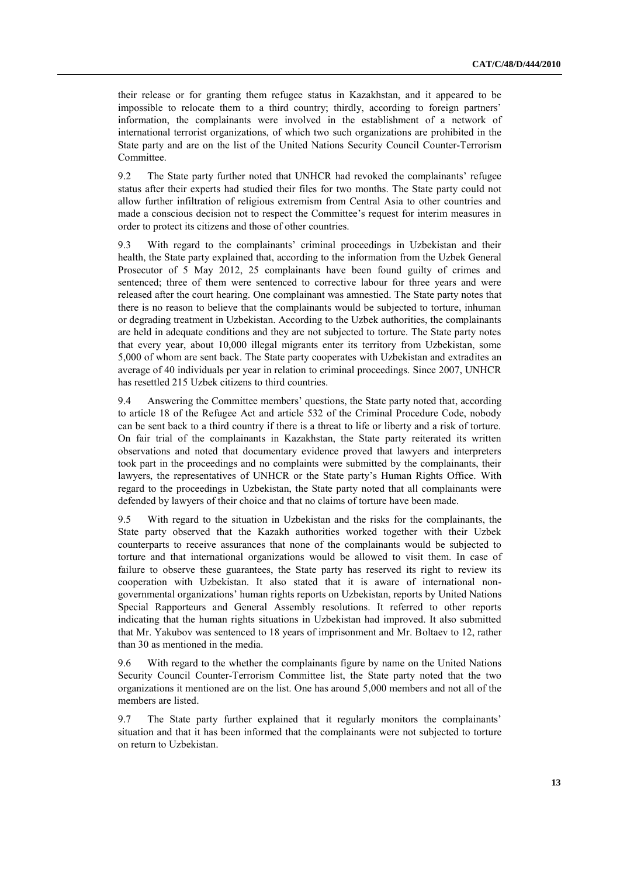their release or for granting them refugee status in Kazakhstan, and it appeared to be impossible to relocate them to a third country; thirdly, according to foreign partners' information, the complainants were involved in the establishment of a network of international terrorist organizations, of which two such organizations are prohibited in the State party and are on the list of the United Nations Security Council Counter-Terrorism Committee.

9.2 The State party further noted that UNHCR had revoked the complainants' refugee status after their experts had studied their files for two months. The State party could not allow further infiltration of religious extremism from Central Asia to other countries and made a conscious decision not to respect the Committee's request for interim measures in order to protect its citizens and those of other countries.

9.3 With regard to the complainants' criminal proceedings in Uzbekistan and their health, the State party explained that, according to the information from the Uzbek General Prosecutor of 5 May 2012, 25 complainants have been found guilty of crimes and sentenced; three of them were sentenced to corrective labour for three years and were released after the court hearing. One complainant was amnestied. The State party notes that there is no reason to believe that the complainants would be subjected to torture, inhuman or degrading treatment in Uzbekistan. According to the Uzbek authorities, the complainants are held in adequate conditions and they are not subjected to torture. The State party notes that every year, about 10,000 illegal migrants enter its territory from Uzbekistan, some 5,000 of whom are sent back. The State party cooperates with Uzbekistan and extradites an average of 40 individuals per year in relation to criminal proceedings. Since 2007, UNHCR has resettled 215 Uzbek citizens to third countries.

9.4 Answering the Committee members" questions, the State party noted that, according to article 18 of the Refugee Act and article 532 of the Criminal Procedure Code, nobody can be sent back to a third country if there is a threat to life or liberty and a risk of torture. On fair trial of the complainants in Kazakhstan, the State party reiterated its written observations and noted that documentary evidence proved that lawyers and interpreters took part in the proceedings and no complaints were submitted by the complainants, their lawyers, the representatives of UNHCR or the State party"s Human Rights Office. With regard to the proceedings in Uzbekistan, the State party noted that all complainants were defended by lawyers of their choice and that no claims of torture have been made.

9.5 With regard to the situation in Uzbekistan and the risks for the complainants, the State party observed that the Kazakh authorities worked together with their Uzbek counterparts to receive assurances that none of the complainants would be subjected to torture and that international organizations would be allowed to visit them. In case of failure to observe these guarantees, the State party has reserved its right to review its cooperation with Uzbekistan. It also stated that it is aware of international nongovernmental organizations" human rights reports on Uzbekistan, reports by United Nations Special Rapporteurs and General Assembly resolutions. It referred to other reports indicating that the human rights situations in Uzbekistan had improved. It also submitted that Mr. Yakubov was sentenced to 18 years of imprisonment and Mr. Boltaev to 12, rather than 30 as mentioned in the media.

9.6 With regard to the whether the complainants figure by name on the United Nations Security Council Counter-Terrorism Committee list, the State party noted that the two organizations it mentioned are on the list. One has around 5,000 members and not all of the members are listed.

9.7 The State party further explained that it regularly monitors the complainants" situation and that it has been informed that the complainants were not subjected to torture on return to Uzbekistan.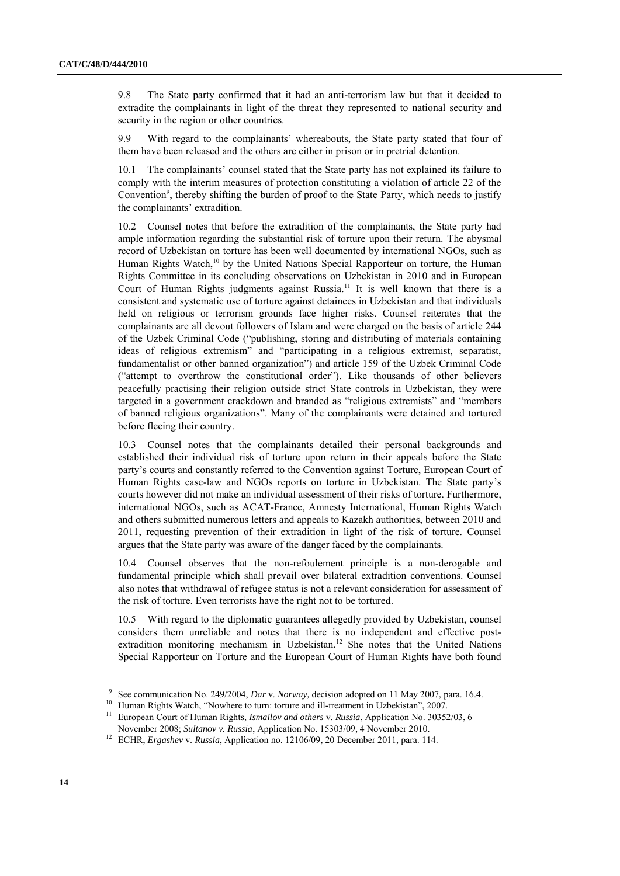9.8 The State party confirmed that it had an anti-terrorism law but that it decided to extradite the complainants in light of the threat they represented to national security and security in the region or other countries.

9.9 With regard to the complainants" whereabouts, the State party stated that four of them have been released and the others are either in prison or in pretrial detention.

10.1 The complainants" counsel stated that the State party has not explained its failure to comply with the interim measures of protection constituting a violation of article 22 of the Convention<sup>9</sup>, thereby shifting the burden of proof to the State Party, which needs to justify the complainants' extradition.

10.2 Counsel notes that before the extradition of the complainants, the State party had ample information regarding the substantial risk of torture upon their return. The abysmal record of Uzbekistan on torture has been well documented by international NGOs, such as Human Rights Watch,<sup>10</sup> by the United Nations Special Rapporteur on torture, the Human Rights Committee in its concluding observations on Uzbekistan in 2010 and in European Court of Human Rights judgments against Russia.<sup>11</sup> It is well known that there is a consistent and systematic use of torture against detainees in Uzbekistan and that individuals held on religious or terrorism grounds face higher risks. Counsel reiterates that the complainants are all devout followers of Islam and were charged on the basis of article 244 of the Uzbek Criminal Code ("publishing, storing and distributing of materials containing ideas of religious extremism" and "participating in a religious extremist, separatist, fundamentalist or other banned organization") and article 159 of the Uzbek Criminal Code ("attempt to overthrow the constitutional order"). Like thousands of other believers peacefully practising their religion outside strict State controls in Uzbekistan, they were targeted in a government crackdown and branded as "religious extremists" and "members of banned religious organizations". Many of the complainants were detained and tortured before fleeing their country.

10.3 Counsel notes that the complainants detailed their personal backgrounds and established their individual risk of torture upon return in their appeals before the State party"s courts and constantly referred to the Convention against Torture, European Court of Human Rights case-law and NGOs reports on torture in Uzbekistan. The State party"s courts however did not make an individual assessment of their risks of torture. Furthermore, international NGOs, such as ACAT-France, Amnesty International, Human Rights Watch and others submitted numerous letters and appeals to Kazakh authorities, between 2010 and 2011, requesting prevention of their extradition in light of the risk of torture. Counsel argues that the State party was aware of the danger faced by the complainants.

10.4 Counsel observes that the non-refoulement principle is a non-derogable and fundamental principle which shall prevail over bilateral extradition conventions. Counsel also notes that withdrawal of refugee status is not a relevant consideration for assessment of the risk of torture. Even terrorists have the right not to be tortured.

10.5 With regard to the diplomatic guarantees allegedly provided by Uzbekistan, counsel considers them unreliable and notes that there is no independent and effective postextradition monitoring mechanism in Uzbekistan. <sup>12</sup> She notes that the United Nations Special Rapporteur on Torture and the European Court of Human Rights have both found

<sup>9</sup> See communication No. 249/2004, *Dar* v. *Norway,* decision adopted on 11 May 2007, para. 16.4.

<sup>&</sup>lt;sup>10</sup> Human Rights Watch, "Nowhere to turn: torture and ill-treatment in Uzbekistan", 2007.

<sup>11</sup> European Court of Human Rights, *Ismailov and others* v. *Russia*, Application No. 30352/03, 6 November 2008; *Sultanov v. Russia*, Application No. 15303/09, 4 November 2010.

<sup>12</sup> ECHR, *Ergashev* v. *Russia*, Application no. 12106/09, 20 December 2011, para. 114.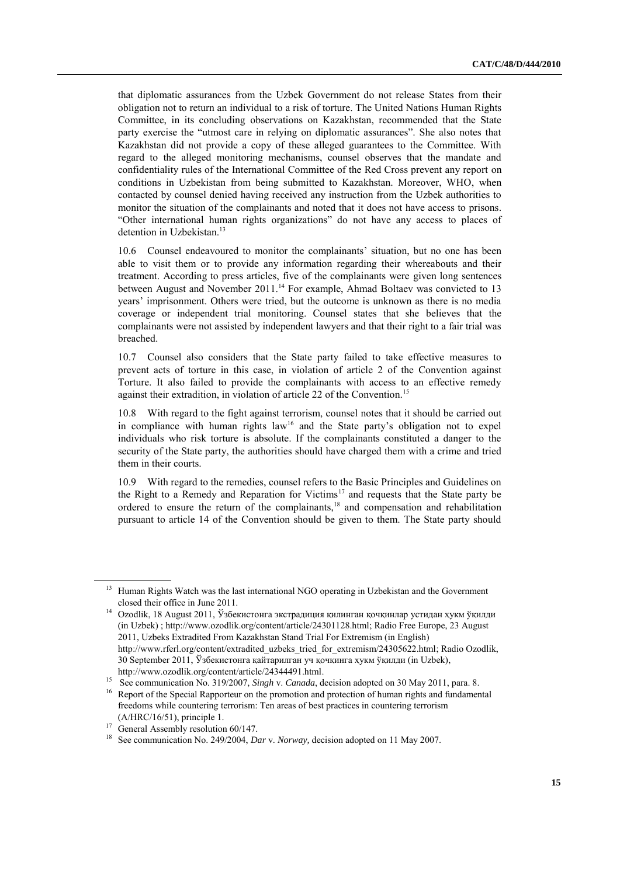that diplomatic assurances from the Uzbek Government do not release States from their obligation not to return an individual to a risk of torture. The United Nations Human Rights Committee, in its concluding observations on Kazakhstan, recommended that the State party exercise the "utmost care in relying on diplomatic assurances". She also notes that Kazakhstan did not provide a copy of these alleged guarantees to the Committee. With regard to the alleged monitoring mechanisms, counsel observes that the mandate and confidentiality rules of the International Committee of the Red Cross prevent any report on conditions in Uzbekistan from being submitted to Kazakhstan. Moreover, WHO, when contacted by counsel denied having received any instruction from the Uzbek authorities to monitor the situation of the complainants and noted that it does not have access to prisons. "Other international human rights organizations" do not have any access to places of detention in Uzbekistan.<sup>13</sup>

10.6 Counsel endeavoured to monitor the complainants" situation, but no one has been able to visit them or to provide any information regarding their whereabouts and their treatment. According to press articles, five of the complainants were given long sentences between August and November 2011.<sup>14</sup> For example, Ahmad Boltaev was convicted to 13 years" imprisonment. Others were tried, but the outcome is unknown as there is no media coverage or independent trial monitoring. Counsel states that she believes that the complainants were not assisted by independent lawyers and that their right to a fair trial was breached.

10.7 Counsel also considers that the State party failed to take effective measures to prevent acts of torture in this case, in violation of article 2 of the Convention against Torture. It also failed to provide the complainants with access to an effective remedy against their extradition, in violation of article 22 of the Convention.<sup>15</sup>

10.8 With regard to the fight against terrorism, counsel notes that it should be carried out in compliance with human rights law<sup>16</sup> and the State party's obligation not to expel individuals who risk torture is absolute. If the complainants constituted a danger to the security of the State party, the authorities should have charged them with a crime and tried them in their courts.

10.9 With regard to the remedies, counsel refers to the Basic Principles and Guidelines on the Right to a Remedy and Reparation for Victims<sup>17</sup> and requests that the State party be ordered to ensure the return of the complainants, <sup>18</sup> and compensation and rehabilitation pursuant to article 14 of the Convention should be given to them. The State party should

<sup>&</sup>lt;sup>13</sup> Human Rights Watch was the last international NGO operating in Uzbekistan and the Government closed their office in June 2011.

<sup>14</sup> Ozodlik, 18 August 2011, Ўзбекистонга экстрадиция қилинган қочқинлар устидан ҳукм ўқилди (in Uzbek) ; [http://www.ozodlik.org/content/article/24301128.html;](http://www.ozodlik.org/content/article/24301128.html) Radio Free Europe, 23 August 2011, Uzbeks Extradited From Kazakhstan Stand Trial For Extremism (in English) [http://www.rferl.org/content/extradited\\_uzbeks\\_tried\\_for\\_extremism/24305622.html;](http://www.rferl.org/content/extradited_uzbeks_tried_for_extremism/24305622.html) Radio Ozodlik, 30 September 2011, Ўзбекистонга қайтарилган уч қочқинга ҳукм ўқилди (in Uzbek), [http://www.ozodlik.org/content/article/24344491.html.](http://www.ozodlik.org/content/article/24344491.html)

<sup>15</sup> See communication No. 319/2007, *Singh* v. *Canada*, decision adopted on 30 May 2011, para. 8.

<sup>&</sup>lt;sup>16</sup> Report of the Special Rapporteur on the promotion and protection of human rights and fundamental freedoms while countering terrorism: Ten areas of best practices in countering terrorism (A/HRC/16/51), principle 1.

<sup>&</sup>lt;sup>17</sup> General Assembly resolution 60/147.

<sup>18</sup> See communication No. 249/2004, *Dar* v. *Norway,* decision adopted on 11 May 2007.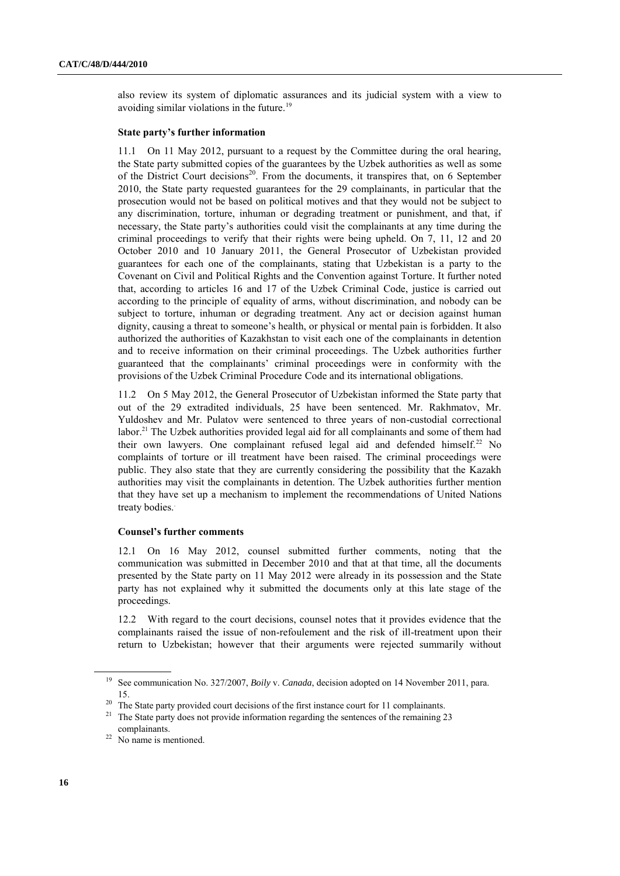also review its system of diplomatic assurances and its judicial system with a view to avoiding similar violations in the future.<sup>19</sup>

## **State party's further information**

11.1 On 11 May 2012, pursuant to a request by the Committee during the oral hearing, the State party submitted copies of the guarantees by the Uzbek authorities as well as some of the District Court decisions<sup>20</sup>. From the documents, it transpires that, on 6 September 2010, the State party requested guarantees for the 29 complainants, in particular that the prosecution would not be based on political motives and that they would not be subject to any discrimination, torture, inhuman or degrading treatment or punishment, and that, if necessary, the State party"s authorities could visit the complainants at any time during the criminal proceedings to verify that their rights were being upheld. On 7, 11, 12 and 20 October 2010 and 10 January 2011, the General Prosecutor of Uzbekistan provided guarantees for each one of the complainants, stating that Uzbekistan is a party to the Covenant on Civil and Political Rights and the Convention against Torture. It further noted that, according to articles 16 and 17 of the Uzbek Criminal Code, justice is carried out according to the principle of equality of arms, without discrimination, and nobody can be subject to torture, inhuman or degrading treatment. Any act or decision against human dignity, causing a threat to someone's health, or physical or mental pain is forbidden. It also authorized the authorities of Kazakhstan to visit each one of the complainants in detention and to receive information on their criminal proceedings. The Uzbek authorities further guaranteed that the complainants" criminal proceedings were in conformity with the provisions of the Uzbek Criminal Procedure Code and its international obligations.

11.2 On 5 May 2012, the General Prosecutor of Uzbekistan informed the State party that out of the 29 extradited individuals, 25 have been sentenced. Mr. Rakhmatov, Mr. Yuldoshev and Mr. Pulatov were sentenced to three years of non-custodial correctional labor.<sup>21</sup> The Uzbek authorities provided legal aid for all complainants and some of them had their own lawyers. One complainant refused legal aid and defended himself.<sup>22</sup> No complaints of torture or ill treatment have been raised. The criminal proceedings were public. They also state that they are currently considering the possibility that the Kazakh authorities may visit the complainants in detention. The Uzbek authorities further mention that they have set up a mechanism to implement the recommendations of United Nations treaty bodies.

## **Counsel's further comments**

12.1 On 16 May 2012, counsel submitted further comments, noting that the communication was submitted in December 2010 and that at that time, all the documents presented by the State party on 11 May 2012 were already in its possession and the State party has not explained why it submitted the documents only at this late stage of the proceedings.

12.2 With regard to the court decisions, counsel notes that it provides evidence that the complainants raised the issue of non-refoulement and the risk of ill-treatment upon their return to Uzbekistan; however that their arguments were rejected summarily without

<sup>19</sup> See communication No. 327/2007, *Boily* v. *Canada*, decision adopted on 14 November 2011, para. 15.

<sup>&</sup>lt;sup>20</sup> The State party provided court decisions of the first instance court for 11 complainants.

<sup>&</sup>lt;sup>21</sup> The State party does not provide information regarding the sentences of the remaining 23 complainants.

 $22$  No name is mentioned.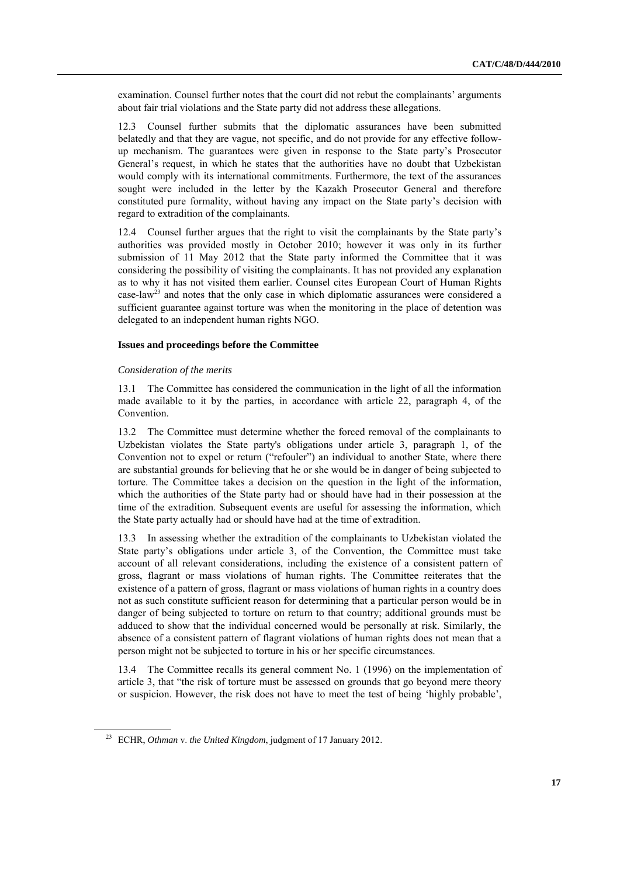examination. Counsel further notes that the court did not rebut the complainants" arguments about fair trial violations and the State party did not address these allegations.

12.3 Counsel further submits that the diplomatic assurances have been submitted belatedly and that they are vague, not specific, and do not provide for any effective followup mechanism. The guarantees were given in response to the State party"s Prosecutor General's request, in which he states that the authorities have no doubt that Uzbekistan would comply with its international commitments. Furthermore, the text of the assurances sought were included in the letter by the Kazakh Prosecutor General and therefore constituted pure formality, without having any impact on the State party"s decision with regard to extradition of the complainants.

12.4 Counsel further argues that the right to visit the complainants by the State party"s authorities was provided mostly in October 2010; however it was only in its further submission of 11 May 2012 that the State party informed the Committee that it was considering the possibility of visiting the complainants. It has not provided any explanation as to why it has not visited them earlier. Counsel cites European Court of Human Rights case-law<sup>23</sup> and notes that the only case in which diplomatic assurances were considered a sufficient guarantee against torture was when the monitoring in the place of detention was delegated to an independent human rights NGO.

#### **Issues and proceedings before the Committee**

#### *Consideration of the merits*

13.1 The Committee has considered the communication in the light of all the information made available to it by the parties, in accordance with article 22, paragraph 4, of the Convention.

13.2 The Committee must determine whether the forced removal of the complainants to Uzbekistan violates the State party's obligations under article 3, paragraph 1, of the Convention not to expel or return ("refouler") an individual to another State, where there are substantial grounds for believing that he or she would be in danger of being subjected to torture. The Committee takes a decision on the question in the light of the information, which the authorities of the State party had or should have had in their possession at the time of the extradition. Subsequent events are useful for assessing the information, which the State party actually had or should have had at the time of extradition.

13.3 In assessing whether the extradition of the complainants to Uzbekistan violated the State party"s obligations under article 3, of the Convention, the Committee must take account of all relevant considerations, including the existence of a consistent pattern of gross, flagrant or mass violations of human rights. The Committee reiterates that the existence of a pattern of gross, flagrant or mass violations of human rights in a country does not as such constitute sufficient reason for determining that a particular person would be in danger of being subjected to torture on return to that country; additional grounds must be adduced to show that the individual concerned would be personally at risk. Similarly, the absence of a consistent pattern of flagrant violations of human rights does not mean that a person might not be subjected to torture in his or her specific circumstances.

13.4 The Committee recalls its general comment No. 1 (1996) on the implementation of article 3, that "the risk of torture must be assessed on grounds that go beyond mere theory or suspicion. However, the risk does not have to meet the test of being "highly probable",

<sup>23</sup> ECHR, *Othman* v. *the United Kingdom*, judgment of 17 January 2012.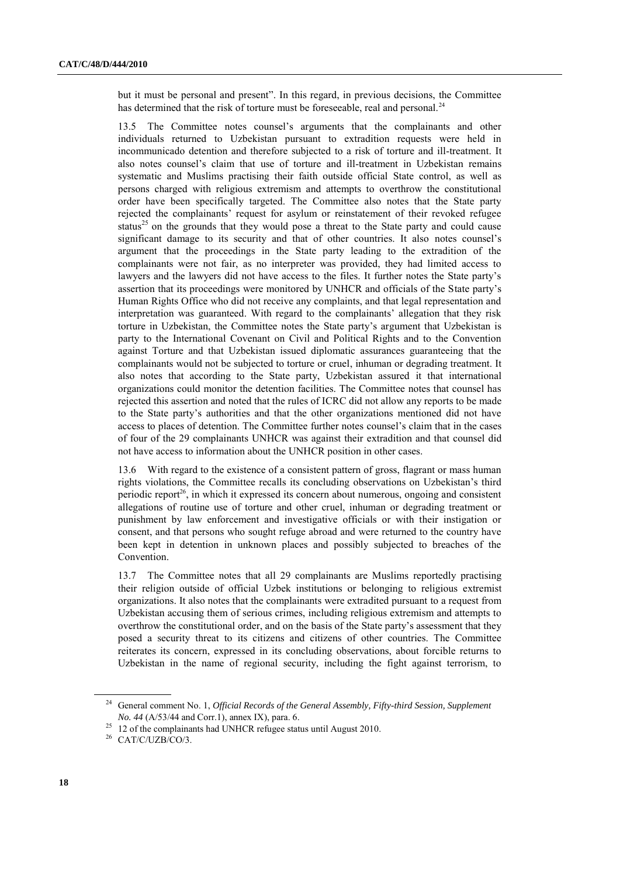but it must be personal and present". In this regard, in previous decisions, the Committee has determined that the risk of torture must be foreseeable, real and personal.<sup>24</sup>

13.5 The Committee notes counsel"s arguments that the complainants and other individuals returned to Uzbekistan pursuant to extradition requests were held in incommunicado detention and therefore subjected to a risk of torture and ill-treatment. It also notes counsel"s claim that use of torture and ill-treatment in Uzbekistan remains systematic and Muslims practising their faith outside official State control, as well as persons charged with religious extremism and attempts to overthrow the constitutional order have been specifically targeted. The Committee also notes that the State party rejected the complainants' request for asylum or reinstatement of their revoked refugee status<sup>25</sup> on the grounds that they would pose a threat to the State party and could cause significant damage to its security and that of other countries. It also notes counsel's argument that the proceedings in the State party leading to the extradition of the complainants were not fair, as no interpreter was provided, they had limited access to lawyers and the lawyers did not have access to the files. It further notes the State party"s assertion that its proceedings were monitored by UNHCR and officials of the State party"s Human Rights Office who did not receive any complaints, and that legal representation and interpretation was guaranteed. With regard to the complainants" allegation that they risk torture in Uzbekistan, the Committee notes the State party"s argument that Uzbekistan is party to the International Covenant on Civil and Political Rights and to the Convention against Torture and that Uzbekistan issued diplomatic assurances guaranteeing that the complainants would not be subjected to torture or cruel, inhuman or degrading treatment. It also notes that according to the State party, Uzbekistan assured it that international organizations could monitor the detention facilities. The Committee notes that counsel has rejected this assertion and noted that the rules of ICRC did not allow any reports to be made to the State party"s authorities and that the other organizations mentioned did not have access to places of detention. The Committee further notes counsel"s claim that in the cases of four of the 29 complainants UNHCR was against their extradition and that counsel did not have access to information about the UNHCR position in other cases.

13.6 With regard to the existence of a consistent pattern of gross, flagrant or mass human rights violations, the Committee recalls its concluding observations on Uzbekistan"s third periodic report<sup>26</sup>, in which it expressed its concern about numerous, ongoing and consistent allegations of routine use of torture and other cruel, inhuman or degrading treatment or punishment by law enforcement and investigative officials or with their instigation or consent, and that persons who sought refuge abroad and were returned to the country have been kept in detention in unknown places and possibly subjected to breaches of the Convention.

13.7 The Committee notes that all 29 complainants are Muslims reportedly practising their religion outside of official Uzbek institutions or belonging to religious extremist organizations. It also notes that the complainants were extradited pursuant to a request from Uzbekistan accusing them of serious crimes, including religious extremism and attempts to overthrow the constitutional order, and on the basis of the State party"s assessment that they posed a security threat to its citizens and citizens of other countries. The Committee reiterates its concern, expressed in its concluding observations, about forcible returns to Uzbekistan in the name of regional security, including the fight against terrorism, to

<sup>&</sup>lt;sup>24</sup> General comment No. 1, *Official Records of the General Assembly, Fifty-third Session, Supplement No. 44* (A/53/44 and Corr.1), annex IX), para. 6.

<sup>&</sup>lt;sup>25</sup> 12 of the complainants had UNHCR refugee status until August 2010.

<sup>&</sup>lt;sup>26</sup> CAT/C/UZB/CO/3.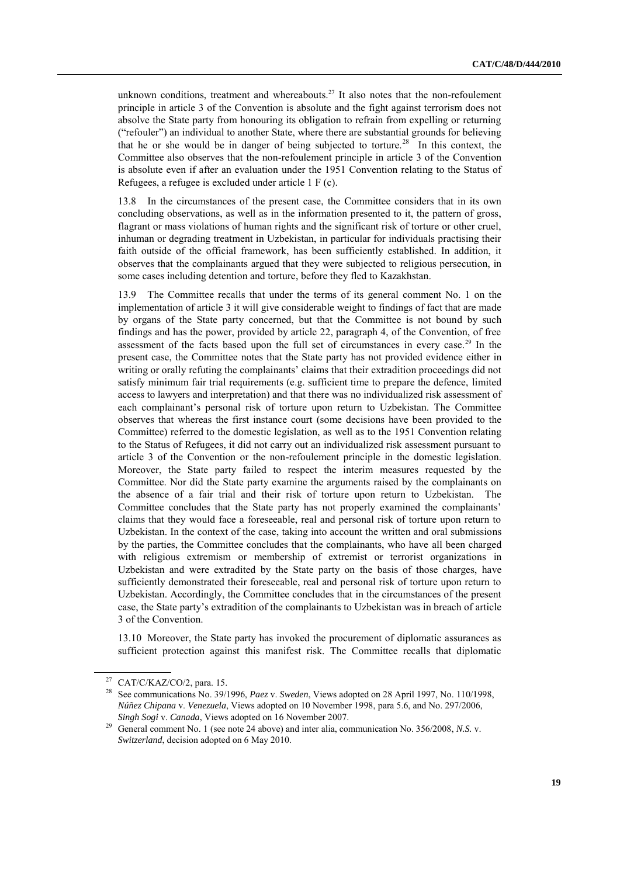unknown conditions, treatment and whereabouts. $^{27}$  It also notes that the non-refoulement principle in article 3 of the Convention is absolute and the fight against terrorism does not absolve the State party from honouring its obligation to refrain from expelling or returning ("refouler") an individual to another State, where there are substantial grounds for believing that he or she would be in danger of being subjected to torture.<sup>28</sup> In this context, the Committee also observes that the non-refoulement principle in article 3 of the Convention is absolute even if after an evaluation under the 1951 Convention relating to the Status of Refugees, a refugee is excluded under article 1 F (c).

13.8 In the circumstances of the present case, the Committee considers that in its own concluding observations, as well as in the information presented to it, the pattern of gross, flagrant or mass violations of human rights and the significant risk of torture or other cruel, inhuman or degrading treatment in Uzbekistan, in particular for individuals practising their faith outside of the official framework, has been sufficiently established. In addition, it observes that the complainants argued that they were subjected to religious persecution, in some cases including detention and torture, before they fled to Kazakhstan.

13.9 The Committee recalls that under the terms of its general comment No. 1 on the implementation of article 3 it will give considerable weight to findings of fact that are made by organs of the State party concerned, but that the Committee is not bound by such findings and has the power, provided by article 22, paragraph 4, of the Convention, of free assessment of the facts based upon the full set of circumstances in every case.<sup>29</sup> In the present case, the Committee notes that the State party has not provided evidence either in writing or orally refuting the complainants' claims that their extradition proceedings did not satisfy minimum fair trial requirements (e.g. sufficient time to prepare the defence, limited access to lawyers and interpretation) and that there was no individualized risk assessment of each complainant's personal risk of torture upon return to Uzbekistan. The Committee observes that whereas the first instance court (some decisions have been provided to the Committee) referred to the domestic legislation, as well as to the 1951 Convention relating to the Status of Refugees, it did not carry out an individualized risk assessment pursuant to article 3 of the Convention or the non-refoulement principle in the domestic legislation. Moreover, the State party failed to respect the interim measures requested by the Committee. Nor did the State party examine the arguments raised by the complainants on the absence of a fair trial and their risk of torture upon return to Uzbekistan. The Committee concludes that the State party has not properly examined the complainants" claims that they would face a foreseeable, real and personal risk of torture upon return to Uzbekistan. In the context of the case, taking into account the written and oral submissions by the parties, the Committee concludes that the complainants, who have all been charged with religious extremism or membership of extremist or terrorist organizations in Uzbekistan and were extradited by the State party on the basis of those charges, have sufficiently demonstrated their foreseeable, real and personal risk of torture upon return to Uzbekistan. Accordingly, the Committee concludes that in the circumstances of the present case, the State party"s extradition of the complainants to Uzbekistan was in breach of article 3 of the Convention.

13.10 Moreover, the State party has invoked the procurement of diplomatic assurances as sufficient protection against this manifest risk. The Committee recalls that diplomatic

<sup>&</sup>lt;sup>27</sup> CAT/C/KAZ/CO/2, para. 15.

<sup>28</sup> See communications No. 39/1996, *Paez* v. *Sweden*, Views adopted on 28 April 1997, No. 110/1998, *Núñez Chipana* v. *Venezuela*, Views adopted on 10 November 1998, para 5.6, and No. 297/2006, *Singh Sogi* v. *Canada*, Views adopted on 16 November 2007.

<sup>&</sup>lt;sup>29</sup> General comment No. 1 (see note 24 above) and inter alia, communication No. 356/2008, *N.S.* v. *Switzerland*, decision adopted on 6 May 2010.